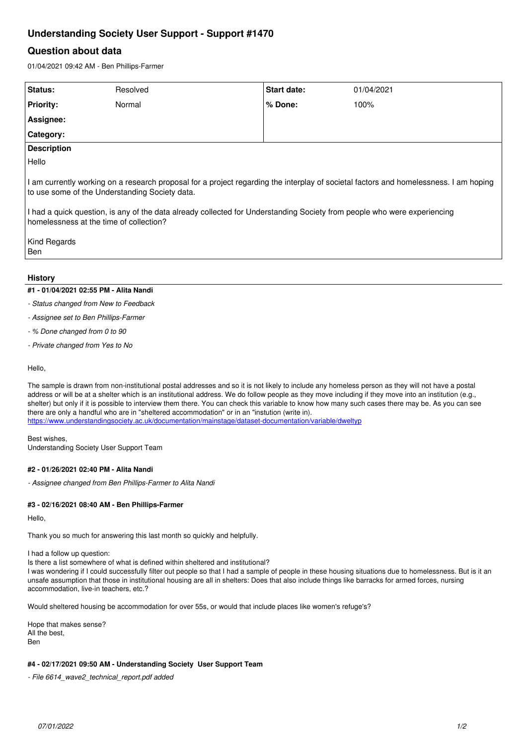# **Understanding Society User Support - Support #1470**

## **Question about data**

01/04/2021 09:42 AM - Ben Phillips-Farmer

| <b>Status:</b>                                                                                                                                                                                                                                                                                                                                                 | Resolved | <b>Start date:</b> |  | 01/04/2021 |  |  |
|----------------------------------------------------------------------------------------------------------------------------------------------------------------------------------------------------------------------------------------------------------------------------------------------------------------------------------------------------------------|----------|--------------------|--|------------|--|--|
| <b>Priority:</b>                                                                                                                                                                                                                                                                                                                                               | Normal   | % Done:            |  | 100%       |  |  |
| Assignee:                                                                                                                                                                                                                                                                                                                                                      |          |                    |  |            |  |  |
| <b>Category:</b>                                                                                                                                                                                                                                                                                                                                               |          |                    |  |            |  |  |
| <b>Description</b>                                                                                                                                                                                                                                                                                                                                             |          |                    |  |            |  |  |
| Hello                                                                                                                                                                                                                                                                                                                                                          |          |                    |  |            |  |  |
| I am currently working on a research proposal for a project regarding the interplay of societal factors and homelessness. I am hoping<br>to use some of the Understanding Society data.<br>I had a quick question, is any of the data already collected for Understanding Society from people who were experiencing<br>homelessness at the time of collection? |          |                    |  |            |  |  |
| Kind Regards<br>Ben                                                                                                                                                                                                                                                                                                                                            |          |                    |  |            |  |  |
| <b>History</b>                                                                                                                                                                                                                                                                                                                                                 |          |                    |  |            |  |  |

## **#1 - 01/04/2021 02:55 PM - Alita Nandi**

- *Status changed from New to Feedback*
- *Assignee set to Ben Phillips-Farmer*
- *% Done changed from 0 to 90*
- *Private changed from Yes to No*

### Hello,

The sample is drawn from non-institutional postal addresses and so it is not likely to include any homeless person as they will not have a postal address or will be at a shelter which is an institutional address. We do follow people as they move including if they move into an institution (e.g., shelter) but only if it is possible to interview them there. You can check this variable to know how many such cases there may be. As you can see there are only a handful who are in "sheltered accommodation" or in an "instution (write in). <https://www.understandingsociety.ac.uk/documentation/mainstage/dataset-documentation/variable/dweltyp>

Best wishes, Understanding Society User Support Team

### **#2 - 01/26/2021 02:40 PM - Alita Nandi**

*- Assignee changed from Ben Phillips-Farmer to Alita Nandi*

### **#3 - 02/16/2021 08:40 AM - Ben Phillips-Farmer**

Hello,

Thank you so much for answering this last month so quickly and helpfully.

I had a follow up question:

Is there a list somewhere of what is defined within sheltered and institutional?

I was wondering if I could successfully filter out people so that I had a sample of people in these housing situations due to homelessness. But is it an unsafe assumption that those in institutional housing are all in shelters: Does that also include things like barracks for armed forces, nursing accommodation, live-in teachers, etc.?

Would sheltered housing be accommodation for over 55s, or would that include places like women's refuge's?

Hope that makes sense? All the best, Ben

## **#4 - 02/17/2021 09:50 AM - Understanding Society User Support Team**

*- File 6614\_wave2\_technical\_report.pdf added*